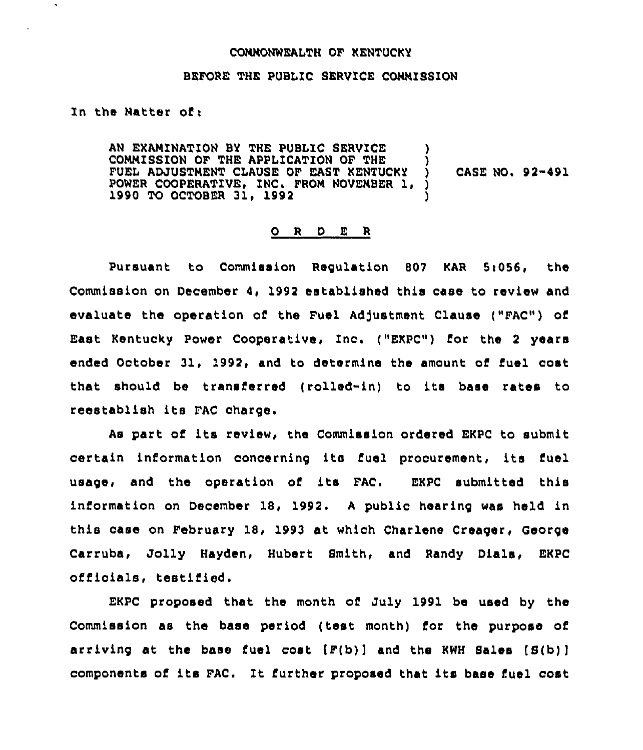## COMMONWEALTH OF KENTUCKY

## BEFORE THE PUBLIC SERVICE COMMISSION

## In the Matter of:

AN EXAMINATION BY THE PUBLIC SERVICE COMMISSION OF THE APPLICATION OF THE  $\left\vert \begin{array}{cc} \dot {\end{array} \right\rangle$  fuel adjustment clause of east kentucky  $\left\vert \begin{array}{cc} \dot {\end{array} \right\rangle$ FUEL ADJUSTMENT CLAUSE OF EAST KENTUCKY ) CASE NO. 92-491 POWER COOPERATIVE, INC. FROM NOVEMBER 1, ) 1990 TO OCTOBER 31, 1992

# 0 <sup>R</sup> <sup>D</sup> E <sup>R</sup>

Pursuant to Commission Regulation 807 KAR 5:056, the Commission on December 4, 1992 established this case to review and evaluate the operation of the Fuel Adjustment Clause ("FAC") of East Kentucky Power Cooperative, Inc. ("EKPC") for the <sup>2</sup> years ended October 31, 1992, and to determine the amount of fuel cost that should be transferred (rolled-in) to its base rates to reestablish its FAC charge.

As part of its review, the Commission ordered EKPC to submit certain information concerning its fuel procurement, its fuel usage, and the operation of its FAC. EKPC submitted this information on December 18, 1992. <sup>A</sup> public hearing was held in this case on February 18, 1993 at which Charlene Creaqer, George Carruba, Jolly Hayden, Hubert Smith, and Randy Dials, EKPC officials, testified.

EKPC proposed that the month of July 1991 be used by the Commission as the base period (test month) for the purpose of arriving at the base fuel cost  $(F(b))$  and the KWH Sales  $(S(b))$ components of its FAC. Zt further proposed that its base fuel cost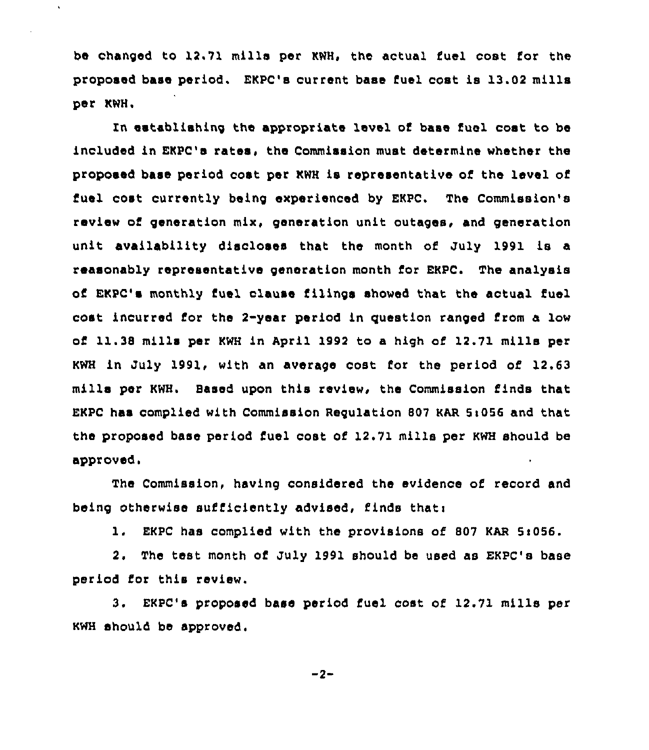be changed to 12,71 mills per KWH, the actual fuel cost for the proposed base period. EKPC's current base fuel cost is 13.02 mills per KWH.

 $\ddot{\phantom{a}}$ 

ln establishing the appropriate level of base fuel cost to be included in EKPC's rates, the Commission must determine whether the proposed base period cost per KWH is representative of the level of fuel cost currently being experienced by EKPC. The Commission's review of generation mix, generation unit outages, and generation unit availability discloses that the month of July 1991 is a reasonably representative generation month for EKPC. The analysis of EKPC's monthly fuel clause filings showed that the actual fuel cost incurred for the 2-year period in question ranged from a low of 11.38 mills per KWH in April 1992 to a high of 12.71 mills per KWH in July 1991, with an average cost for the period of 12.63 mills per KWH. 8ased upon this review, the Commission finds that EKPC has complied with Commission Regulation 807 KAR  $5:056$  and that the proposed base period fuel cost of 12.71 mills per KWH should be approved.

The Commission, having considered the evidence of record and being otherwise sufficiently advised, finds that:

1. EKPC has complied with the provisions of 807 KAR 5:056.

2. The test month of July 1991 should be used as EKPC's base period for this review.

3. EKPC's proposed base period fuel cost of 12.71 mille per KWH should be approved.

 $-2-$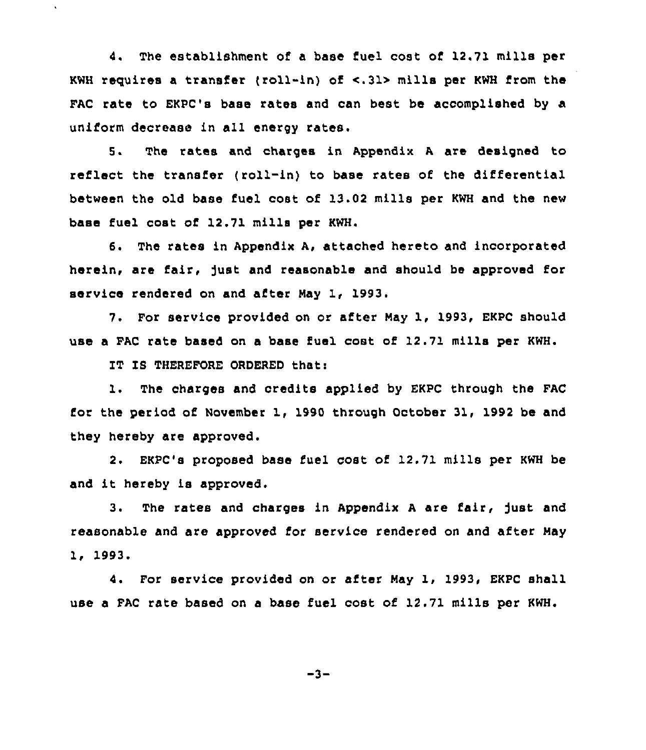4. The establishment of a base fuel cost of 12.71 mills per KWH requires a transfer (ro11-in) of <.31> mills per KWH from the FAC rate to EKPC's base rates and can best be accomplished by a uniform decrease in all energy rates.

5. The rates and charges in Appendix <sup>A</sup> are designed to reflect the transfer (roll-in) to base rates of the differential between the old base fuel cost of 13.02 mills per KWH and the new base fuel cost of 12.71 mills per KWH.

6. The rates in Appendix A, attached hereto and incorporated herein, are fair, fust and reasonable and should be approved for service rendered on and after May 1, 1993.

7. For service provided on or after May 1, 1993, EKPC should use a FAC rate based on a base fuel cost of 12.71 mills per KWH.

IT IS THEREFORE ORDERED that:

 $\ddot{\phantom{a}}$ 

1. The charges and credits applied by EKPC through the FAC for the period of November 1, 1990 through October 31, 1992 be and they hereby are approved.

2. EKPC's proposed base fuel cost of 12.71 mills per KWH be and it hereby is approved.

3. The rates and charges in Appendix <sup>A</sup> are fair, fust and reasonable and are approved for service rendered on and after May lg 1993.

4. For service provided on or after May 1, 1993, EKPC shall use a FAC rate based on a base fuel cost of 12.71 mills per KWH.

 $-3-$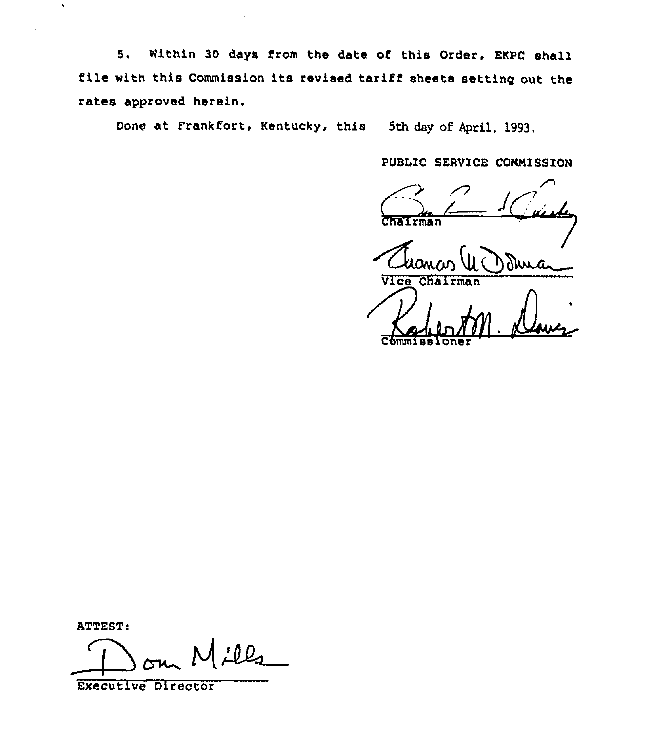5. Within 30 days from the date of this Order, EKPC shall file with this Commission its revised tariff sheets setting out the rates approved herein.

Done at Frankfort, Kentucky, this 5th day of April, 1993.

PUBLIC SERVICE CONNISSION

PUBLIC SERVICE COMMISSION

(UC) Due

Commissione

ATTEST:

 $100$  $\overline{\phantom{a}}$ 

Executive Director